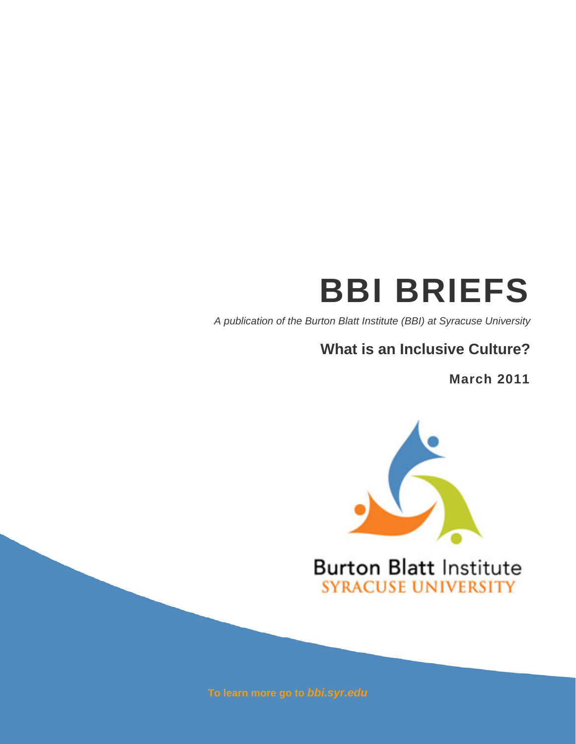# **BBI BRIEFS**

*A publication of the Burton Blatt Institute (BBI) at Syracuse University*

## **What is an Inclusive Culture?**

**March 2011** 



## **Burton Blatt Institute SYRACUSE UNIVERSITY**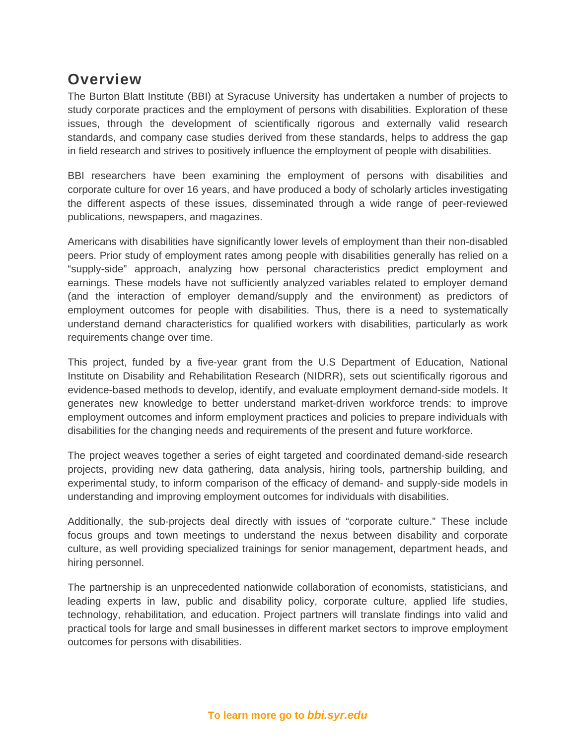### **Overview**

The Burton Blatt Institute (BBI) at Syracuse University has undertaken a number of projects to study corporate practices and the employment of persons with disabilities. Exploration of these issues, through the development of scientifically rigorous and externally valid research standards, and company case studies derived from these standards, helps to address the gap in field research and strives to positively influence the employment of people with disabilities.

BBI researchers have been examining the employment of persons with disabilities and corporate culture for over 16 years, and have produced a body of scholarly articles investigating the different aspects of these issues, disseminated through a wide range of peer-reviewed publications, newspapers, and magazines.

Americans with disabilities have significantly lower levels of employment than their non-disabled peers. Prior study of employment rates among people with disabilities generally has relied on a "supply-side" approach, analyzing how personal characteristics predict employment and earnings. These models have not sufficiently analyzed variables related to employer demand (and the interaction of employer demand/supply and the environment) as predictors of employment outcomes for people with disabilities. Thus, there is a need to systematically understand demand characteristics for qualified workers with disabilities, particularly as work requirements change over time.

This project, funded by a five-year grant from the U.S Department of Education, National Institute on Disability and Rehabilitation Research (NIDRR), sets out scientifically rigorous and evidence-based methods to develop, identify, and evaluate employment demand-side models. It generates new knowledge to better understand market-driven workforce trends: to improve employment outcomes and inform employment practices and policies to prepare individuals with disabilities for the changing needs and requirements of the present and future workforce.

The project weaves together a series of eight targeted and coordinated demand-side research projects, providing new data gathering, data analysis, hiring tools, partnership building, and experimental study, to inform comparison of the efficacy of demand- and supply-side models in understanding and improving employment outcomes for individuals with disabilities.

Additionally, the sub-projects deal directly with issues of "corporate culture." These include focus groups and town meetings to understand the nexus between disability and corporate culture, as well providing specialized trainings for senior management, department heads, and hiring personnel.

The partnership is an unprecedented nationwide collaboration of economists, statisticians, and leading experts in law, public and disability policy, corporate culture, applied life studies, technology, rehabilitation, and education. Project partners will translate findings into valid and practical tools for large and small businesses in different market sectors to improve employment outcomes for persons with disabilities.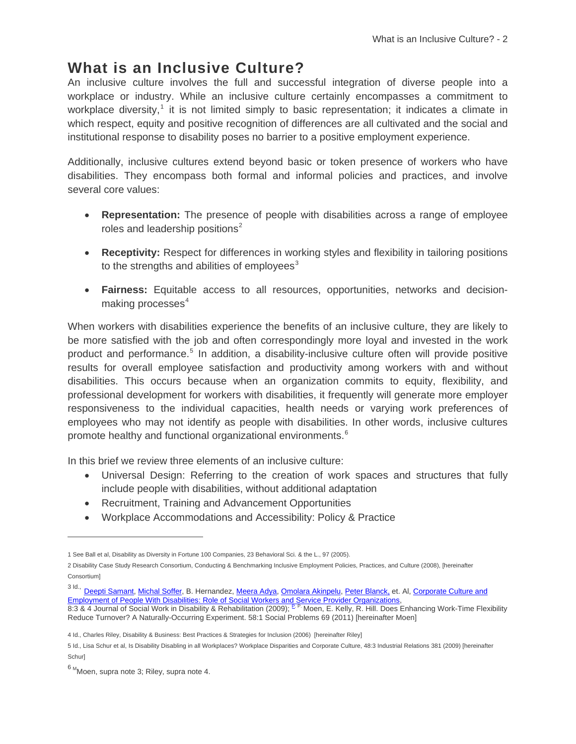## **What is an Inclusive Culture?**

An inclusive culture involves the full and successful integration of diverse people into a workplace or industry. While an inclusive culture certainly encompasses a commitment to workplace diversity,<sup>[1](#page-3-0)</sup> it is not limited simply to basic representation; it indicates a climate in which respect, equity and positive recognition of differences are all cultivated and the social and institutional response to disability poses no barrier to a positive employment experience.

Additionally, inclusive cultures extend beyond basic or token presence of workers who have disabilities. They encompass both formal and informal policies and practices, and involve several core values:

- **Representation:** The presence of people with disabilities across a range of employee roles and leadership positions<sup>[2](#page-3-1)</sup>
- **Receptivity:** Respect for differences in working styles and flexibility in tailoring positions to the strengths and abilities of employees $3$
- **Fairness:** Equitable access to all resources, opportunities, networks and decisionmaking processes $4$

When workers with disabilities experience the benefits of an inclusive culture, they are likely to be more satisfied with the job and often correspondingly more loyal and invested in the work product and performance.<sup>[5](#page-3-4)</sup> In addition, a disability-inclusive culture often will provide positive results for overall employee satisfaction and productivity among workers with and without disabilities. This occurs because when an organization commits to equity, flexibility, and professional development for workers with disabilities, it frequently will generate more employer responsiveness to the individual capacities, health needs or varying work preferences of employees who may not identify as people with disabilities. In other words, inclusive cultures promote healthy and functional organizational environments. $6$ 

In this brief we review three elements of an inclusive culture:

- Universal Design: Referring to the creation of work spaces and structures that fully include people with disabilities, without additional adaptation
- Recruitment, Training and Advancement Opportunities
- Workplace Accommodations and Accessibility: Policy & Practice

 $\overline{a}$ 

<span id="page-3-0"></span><sup>1</sup> See Ball et al, Disability as Diversity in Fortune 100 Companies, 23 Behavioral Sci. & the L., 97 (2005).

<span id="page-3-1"></span><sup>2</sup> Disability Case Study Research Consortium, Conducting & Benchmarking Inclusive Employment Policies, Practices, and Culture (2008), [hereinafter Consortium]

<span id="page-3-2"></span><sup>3</sup> Id., [Deepti Samant](http://bbi.syr.edu/staff/samant/), [Michal Soffer,](http://bbi.syr.edu/staff/msoffer/) B. Hernandez, [Meera Adya](http://bbi.syr.edu/staff/adya/), [Omolara Akinpelu](http://bbi.syr.edu/staff/oakinpelu/), [Peter Blanck,](http://bbi.syr.edu/blanck/) et. Al, Corporate Culture and [Employment of People With Disabilities: Role of Social Workers and Service Provider Organizations](http://www.informaworld.com/smpp/content%7Edb=all%7Econtent=a917373553),

<sup>8:3 &</sup>amp; 4 Journal of Social Work in Disability & Rehabilitation (2009); <sup>P. P.</sup> Moen, E. Kelly, R. Hill. Does Enhancing Work-Time Flexibility Reduce Turnover? A Naturally-Occurring Experiment. 58:1 Social Problems 69 (2011) [hereinafter Moen]

<span id="page-3-3"></span><sup>4</sup> Id., Charles Riley, Disability & Business: Best Practices & Strategies for Inclusion (2006) [hereinafter Riley]

<span id="page-3-4"></span><sup>5</sup> Id., Lisa Schur et al, Is Disability Disabling in all Workplaces? Workplace Disparities and Corporate Culture, 48:3 Industrial Relations 381 (2009) [hereinafter **Schurl** 

<span id="page-3-5"></span> $6 M$ Moen, supra note 3; Riley, supra note 4.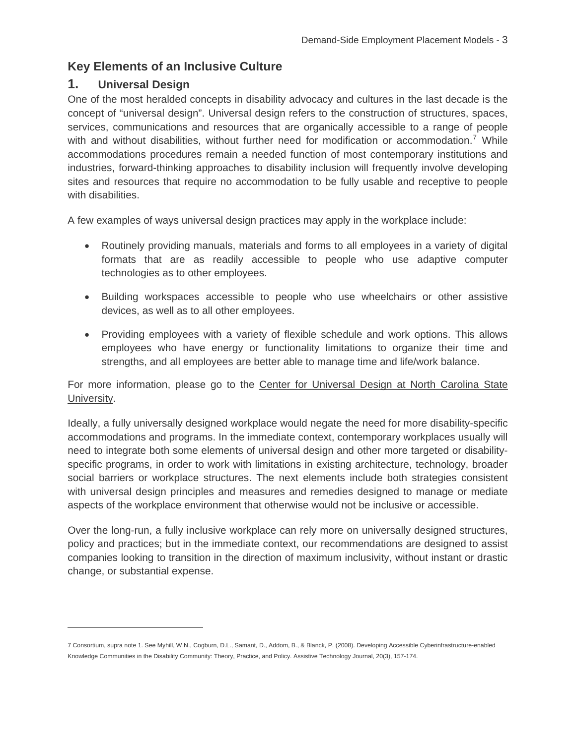#### **Key Elements of an Inclusive Culture**

#### **1. Universal Design**

j

One of the most heralded concepts in disability advocacy and cultures in the last decade is the concept of "universal design". Universal design refers to the construction of structures, spaces, services, communications and resources that are organically accessible to a range of people with and without disabilities, without further need for modification or accommodation.<sup>[7](#page-4-0)</sup> While accommodations procedures remain a needed function of most contemporary institutions and industries, forward-thinking approaches to disability inclusion will frequently involve developing sites and resources that require no accommodation to be fully usable and receptive to people with disabilities.

A few examples of ways universal design practices may apply in the workplace include:

- Routinely providing manuals, materials and forms to all employees in a variety of digital formats that are as readily accessible to people who use adaptive computer technologies as to other employees.
- Building workspaces accessible to people who use wheelchairs or other assistive devices, as well as to all other employees.
- Providing employees with a variety of flexible schedule and work options. This allows employees who have energy or functionality limitations to organize their time and strengths, and all employees are better able to manage time and life/work balance.

For more information, please go to the [Center for Universal Design at North Carolina State](http://www.ncsu.edu/project/design-projects/udi/)  [University](http://www.ncsu.edu/project/design-projects/udi/).

Ideally, a fully universally designed workplace would negate the need for more disability-specific accommodations and programs. In the immediate context, contemporary workplaces usually will need to integrate both some elements of universal design and other more targeted or disabilityspecific programs, in order to work with limitations in existing architecture, technology, broader social barriers or workplace structures. The next elements include both strategies consistent with universal design principles and measures and remedies designed to manage or mediate aspects of the workplace environment that otherwise would not be inclusive or accessible.

Over the long-run, a fully inclusive workplace can rely more on universally designed structures, policy and practices; but in the immediate context, our recommendations are designed to assist companies looking to transition in the direction of maximum inclusivity, without instant or drastic change, or substantial expense.

<span id="page-4-0"></span><sup>7</sup> Consortium, supra note 1. See Myhill, W.N., Cogburn, D.L., Samant, D., Addom, B., & Blanck, P. (2008). Developing Accessible Cyberinfrastructure-enabled Knowledge Communities in the Disability Community: Theory, Practice, and Policy. Assistive Technology Journal, 20(3), 157-174.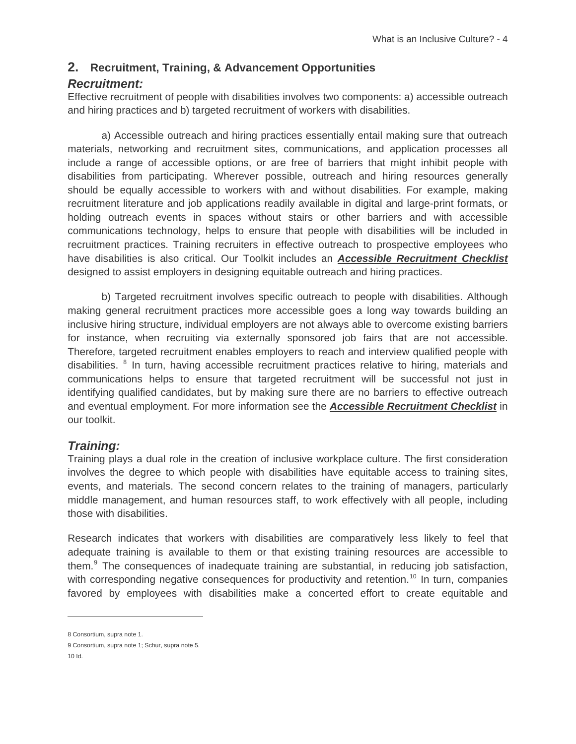#### **2. Recruitment, Training, & Advancement Opportunities**

#### *Recruitment:*

Effective recruitment of people with disabilities involves two components: a) accessible outreach and hiring practices and b) targeted recruitment of workers with disabilities.

a) Accessible outreach and hiring practices essentially entail making sure that outreach materials, networking and recruitment sites, communications, and application processes all include a range of accessible options, or are free of barriers that might inhibit people with disabilities from participating. Wherever possible, outreach and hiring resources generally should be equally accessible to workers with and without disabilities. For example, making recruitment literature and job applications readily available in digital and large-print formats, or holding outreach events in spaces without stairs or other barriers and with accessible communications technology, helps to ensure that people with disabilities will be included in recruitment practices. Training recruiters in effective outreach to prospective employees who have disabilities is also critical. Our Toolkit includes an *[Accessible Recruitment Checklist](http://bbi.syr.edu/projects/Demand_Side_Models/Toolkit.html#arc)* designed to assist employers in designing equitable outreach and hiring practices.

b) Targeted recruitment involves specific outreach to people with disabilities. Although making general recruitment practices more accessible goes a long way towards building an inclusive hiring structure, individual employers are not always able to overcome existing barriers for instance, when recruiting via externally sponsored job fairs that are not accessible. Therefore, targeted recruitment enables employers to reach and interview qualified people with disabilities. <sup>[8](#page-5-0)</sup> In turn, having accessible recruitment practices relative to hiring, materials and communications helps to ensure that targeted recruitment will be successful not just in identifying qualified candidates, but by making sure there are no barriers to effective outreach and eventual employment. For more information see the *[Accessible Recruitment Checklist](http://bbi.syr.edu/projects/Demand_Side_Models/Toolkit.html#arc)* in our toolkit.

#### *Training:*

Training plays a dual role in the creation of inclusive workplace culture. The first consideration involves the degree to which people with disabilities have equitable access to training sites, events, and materials. The second concern relates to the training of managers, particularly middle management, and human resources staff, to work effectively with all people, including those with disabilities.

Research indicates that workers with disabilities are comparatively less likely to feel that adequate training is available to them or that existing training resources are accessible to them.<sup>[9](#page-5-1)</sup> The consequences of inadequate training are substantial, in reducing job satisfaction, with corresponding negative consequences for productivity and retention.<sup>[10](#page-5-2)</sup> In turn, companies favored by employees with disabilities make a concerted effort to create equitable and

 $\overline{a}$ 

<span id="page-5-0"></span><sup>8</sup> Consortium, supra note 1.

<span id="page-5-2"></span><span id="page-5-1"></span><sup>9</sup> Consortium, supra note 1; Schur, supra note 5.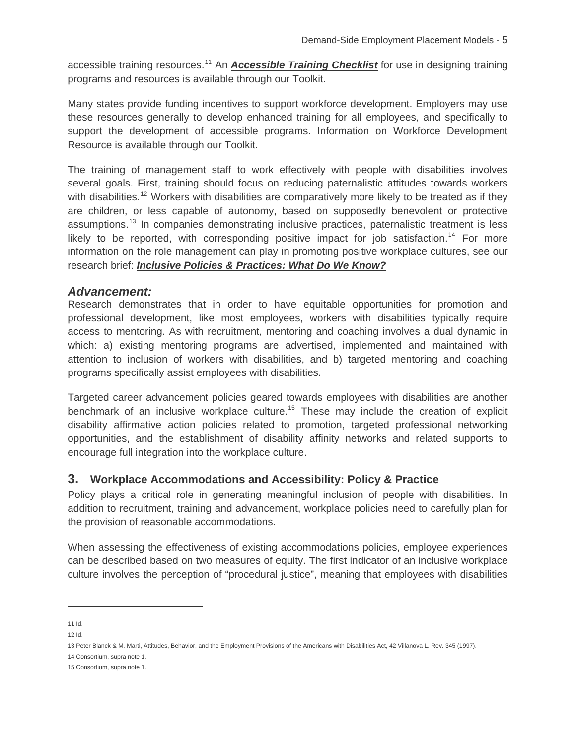accessible training resources.<sup>[11](#page-6-0)</sup> An *[Accessible Training Checklist](http://bbi.syr.edu/projects/Demand_Side_Models/Toolkit.html#atc)* for use in designing training programs and resources is available through our Toolkit.

Many states provide funding incentives to support workforce development. Employers may use these resources generally to develop enhanced training for all employees, and specifically to support the development of accessible programs. Information on Workforce Development Resource is available through our Toolkit.

The training of management staff to work effectively with people with disabilities involves several goals. First, training should focus on reducing paternalistic attitudes towards workers with disabilities.<sup>[12](#page-6-1)</sup> Workers with disabilities are comparatively more likely to be treated as if they are children, or less capable of autonomy, based on supposedly benevolent or protective assumptions.<sup>[13](#page-6-2)</sup> In companies demonstrating inclusive practices, paternalistic treatment is less likely to be reported, with corresponding positive impact for job satisfaction.<sup>[14](#page-6-3)</sup> For more information on the role management can play in promoting positive workplace cultures, see our research brief: *[Inclusive Policies & Practices: What Do We Know?](http://bbi.syr.edu/projects/Demand_Side_Models/Toolkit.html#ip)*

#### *Advancement:*

Research demonstrates that in order to have equitable opportunities for promotion and professional development, like most employees, workers with disabilities typically require access to mentoring. As with recruitment, mentoring and coaching involves a dual dynamic in which: a) existing mentoring programs are advertised, implemented and maintained with attention to inclusion of workers with disabilities, and b) targeted mentoring and coaching programs specifically assist employees with disabilities.

Targeted career advancement policies geared towards employees with disabilities are another benchmark of an inclusive workplace culture.<sup>[15](#page-6-4)</sup> These may include the creation of explicit disability affirmative action policies related to promotion, targeted professional networking opportunities, and the establishment of disability affinity networks and related supports to encourage full integration into the workplace culture.

#### **3. Workplace Accommodations and Accessibility: Policy & Practice**

Policy plays a critical role in generating meaningful inclusion of people with disabilities. In addition to recruitment, training and advancement, workplace policies need to carefully plan for the provision of reasonable accommodations.

When assessing the effectiveness of existing accommodations policies, employee experiences can be described based on two measures of equity. The first indicator of an inclusive workplace culture involves the perception of "procedural justice", meaning that employees with disabilities

j

<span id="page-6-0"></span><sup>11</sup> Id.

<span id="page-6-1"></span><sup>12</sup> Id.

<span id="page-6-2"></span><sup>13</sup> Peter Blanck & M. Marti, Attitudes, Behavior, and the Employment Provisions of the Americans with Disabilities Act, 42 Villanova L. Rev. 345 (1997).

<span id="page-6-3"></span><sup>14</sup> Consortium, supra note 1.

<span id="page-6-4"></span><sup>15</sup> Consortium, supra note 1.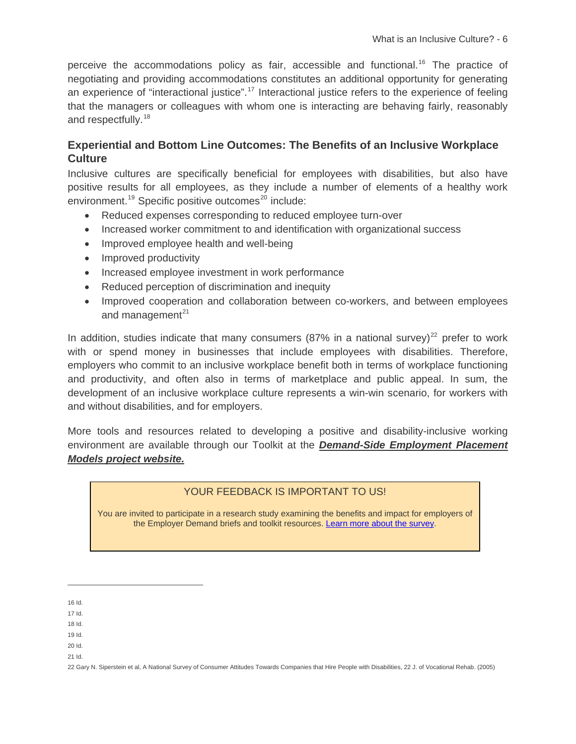perceive the accommodations policy as fair, accessible and functional.<sup>[16](#page-7-0)</sup> The practice of negotiating and providing accommodations constitutes an additional opportunity for generating an experience of "interactional justice".<sup>[17](#page-7-1)</sup> Interactional justice refers to the experience of feeling that the managers or colleagues with whom one is interacting are behaving fairly, reasonably and respectfully.<sup>[18](#page-7-2)</sup>

#### **Experiential and Bottom Line Outcomes: The Benefits of an Inclusive Workplace Culture**

Inclusive cultures are specifically beneficial for employees with disabilities, but also have positive results for all employees, as they include a number of elements of a healthy work environment.<sup>[19](#page-7-3)</sup> Specific positive outcomes<sup>[20](#page-7-4)</sup> include:

- Reduced expenses corresponding to reduced employee turn-over
- Increased worker commitment to and identification with organizational success
- Improved employee health and well-being
- Improved productivity
- Increased employee investment in work performance
- Reduced perception of discrimination and inequity
- Improved cooperation and collaboration between co-workers, and between employees and management $^{21}$  $^{21}$  $^{21}$

In addition, studies indicate that many consumers (87% in a national survey)<sup>[22](#page-7-6)</sup> prefer to work with or spend money in businesses that include emplovees with disabilities. Therefore. employers who commit to an inclusive workplace benefit both in terms of workplace functioning and productivity, and often also in terms of marketplace and public appeal. In sum, the development of an inclusive workplace culture represents a win-win scenario, for workers with and without disabilities, and for employers.

More tools and resources related to developing a positive and disability-inclusive working environment are available through our Toolkit at the *[Demand-Side Employment Placement](http://bbi.syr.edu/projects/Demand_Side_Models/index.html)  [Models project website.](http://bbi.syr.edu/projects/Demand_Side_Models/index.html)*

#### YOUR FEEDBACK IS IMPORTANT TO US!

You are invited to participate in a research study examining the benefits and impact for employers of the Employer Demand briefs and toolkit resources. [Learn more about the survey.](http://bbi.syr.edu/projects/corpculture/survey.htm)

-

- <span id="page-7-2"></span><span id="page-7-1"></span>18 Id.
- 19 Id.
- <span id="page-7-4"></span><span id="page-7-3"></span>20 Id.
- <span id="page-7-5"></span>21 Id.

<span id="page-7-6"></span>22 Gary N. Siperstein et al, A National Survey of Consumer Attitudes Towards Companies that Hire People with Disabilities, 22 J. of Vocational Rehab. (2005)

<span id="page-7-0"></span><sup>16</sup> Id.

<sup>17</sup> Id.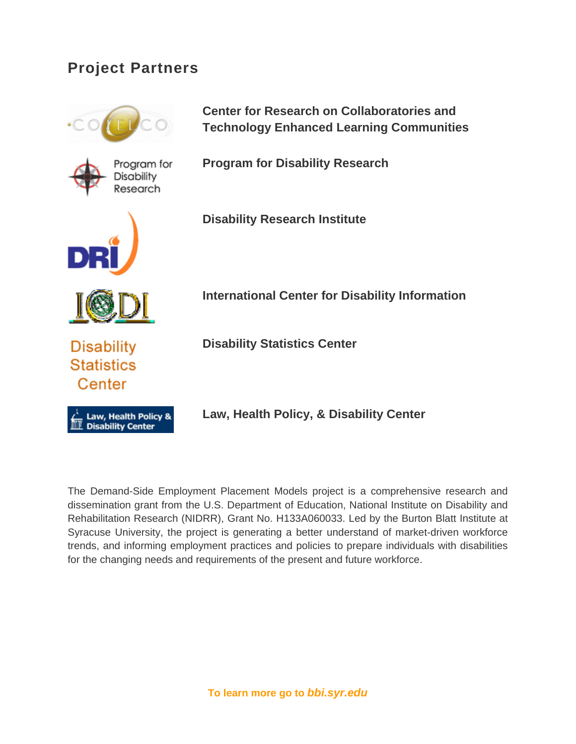## **Project Partners**



The Demand-Side Employment Placement Models project is a comprehensive research and dissemination grant from the U.S. Department of Education, National Institute on Disability and Rehabilitation Research (NIDRR), Grant No. H133A060033. Led by the Burton Blatt Institute at Syracuse University, the project is generating a better understand of market-driven workforce trends, and informing employment practices and policies to prepare individuals with disabilities for the changing needs and requirements of the present and future workforce.